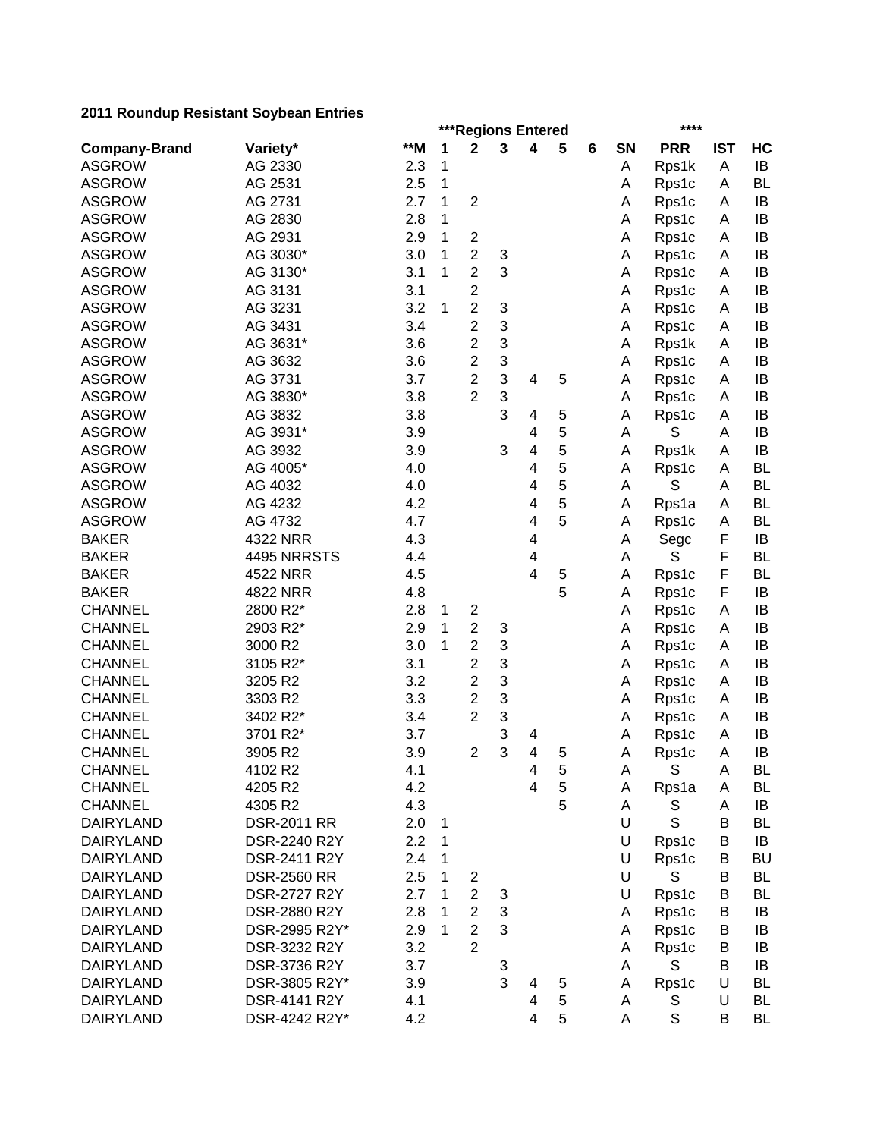|                      | ***Regions Entered<br>****    |     |   |                                  |        |   |   |   |           |             |            |           |
|----------------------|-------------------------------|-----|---|----------------------------------|--------|---|---|---|-----------|-------------|------------|-----------|
| <b>Company-Brand</b> | Variety*                      | **M | 1 | 2                                | 3      | 4 | 5 | 6 | <b>SN</b> | <b>PRR</b>  | <b>IST</b> | HC        |
| <b>ASGROW</b>        | AG 2330                       | 2.3 | 1 |                                  |        |   |   |   | Α         | Rps1k       | Α          | IB        |
| <b>ASGROW</b>        | AG 2531                       | 2.5 | 1 |                                  |        |   |   |   | A         | Rps1c       | Α          | <b>BL</b> |
| <b>ASGROW</b>        | AG 2731                       | 2.7 | 1 | $\overline{2}$                   |        |   |   |   | Α         | Rps1c       | Α          | IB        |
| <b>ASGROW</b>        | AG 2830                       | 2.8 | 1 |                                  |        |   |   |   | Α         | Rps1c       | Α          | IB        |
| <b>ASGROW</b>        | AG 2931                       | 2.9 | 1 | $\boldsymbol{2}$                 |        |   |   |   | Α         | Rps1c       | Α          | IB        |
| <b>ASGROW</b>        | AG 3030*                      | 3.0 | 1 | $\overline{2}$                   | 3      |   |   |   | Α         | Rps1c       | Α          | IB        |
| <b>ASGROW</b>        | AG 3130*                      | 3.1 | 1 | $\overline{2}$                   | 3      |   |   |   | A         | Rps1c       | A          | IB        |
| <b>ASGROW</b>        | AG 3131                       | 3.1 |   | $\overline{\mathbf{c}}$          |        |   |   |   | Α         | Rps1c       | A          | IB        |
| <b>ASGROW</b>        | AG 3231                       | 3.2 | 1 | $\overline{2}$                   | 3      |   |   |   | A         | Rps1c       | A          | IB        |
| <b>ASGROW</b>        | AG 3431                       | 3.4 |   | $\overline{\mathbf{c}}$          | 3      |   |   |   | A         | Rps1c       | A          | IB        |
| <b>ASGROW</b>        | AG 3631*                      | 3.6 |   | $\overline{2}$                   | 3      |   |   |   | A         | Rps1k       | A          | IB        |
| <b>ASGROW</b>        | AG 3632                       | 3.6 |   | $\overline{2}$                   | 3      |   |   |   | A         | Rps1c       | A          | IB        |
| <b>ASGROW</b>        | AG 3731                       | 3.7 |   | $\overline{2}$                   | 3      | 4 | 5 |   | Α         | Rps1c       | A          | IB        |
| <b>ASGROW</b>        | AG 3830*                      | 3.8 |   | 2                                | 3      |   |   |   | A         | Rps1c       | A          | IB        |
| <b>ASGROW</b>        | AG 3832                       | 3.8 |   |                                  | 3      | 4 | 5 |   | Α         | Rps1c       | A          | IB        |
| <b>ASGROW</b>        | AG 3931*                      | 3.9 |   |                                  |        | 4 | 5 |   | Α         | S           | Α          | IB        |
| <b>ASGROW</b>        | AG 3932                       | 3.9 |   |                                  | 3      | 4 | 5 |   | Α         | Rps1k       | A          | IB        |
| <b>ASGROW</b>        | AG 4005*                      | 4.0 |   |                                  |        | 4 | 5 |   | Α         | Rps1c       | Α          | <b>BL</b> |
| <b>ASGROW</b>        | AG 4032                       | 4.0 |   |                                  |        | 4 | 5 |   | A         | S           | A          | <b>BL</b> |
| <b>ASGROW</b>        | AG 4232                       | 4.2 |   |                                  |        | 4 | 5 |   | Α         | Rps1a       | A          | <b>BL</b> |
| <b>ASGROW</b>        | AG 4732                       | 4.7 |   |                                  |        | 4 | 5 |   | Α         | Rps1c       | Α          | <b>BL</b> |
| <b>BAKER</b>         | 4322 NRR                      | 4.3 |   |                                  |        | 4 |   |   | A         | Segc        | F          | IB        |
| <b>BAKER</b>         | 4495 NRRSTS                   | 4.4 |   |                                  |        | 4 |   |   | Α         | S           | F          | <b>BL</b> |
| <b>BAKER</b>         | 4522 NRR                      | 4.5 |   |                                  |        | 4 | 5 |   | Α         | Rps1c       | F          | <b>BL</b> |
| <b>BAKER</b>         | 4822 NRR                      | 4.8 |   |                                  |        |   | 5 |   | Α         | Rps1c       | F          | IB        |
| <b>CHANNEL</b>       | 2800 R2*                      | 2.8 | 1 | $\overline{\mathbf{c}}$          |        |   |   |   | A         | Rps1c       | A          | IB        |
| <b>CHANNEL</b>       | 2903 R2*                      | 2.9 | 1 | $\overline{2}$                   | 3      |   |   |   | A         | Rps1c       | A          | IB        |
| <b>CHANNEL</b>       | 3000 R2                       | 3.0 | 1 | $\overline{2}$                   | 3      |   |   |   | Α         | Rps1c       | A          | IB        |
| <b>CHANNEL</b>       | 3105 R2*                      | 3.1 |   | $\overline{2}$                   | 3      |   |   |   | A         | Rps1c       | A          | IB        |
| <b>CHANNEL</b>       | 3205 R2                       | 3.2 |   | 2                                | 3      |   |   |   | A         | Rps1c       | A          | IB        |
| <b>CHANNEL</b>       | 3303 R2                       | 3.3 |   | $\overline{\mathbf{c}}$          | 3      |   |   |   | A         | Rps1c       | A          | IB        |
| <b>CHANNEL</b>       | 3402 R2*                      | 3.4 |   | $\overline{c}$                   | 3      |   |   |   | A         | Rps1c       | Α          | IB        |
| <b>CHANNEL</b>       | 3701 R2*                      | 3.7 |   |                                  | 3      | 4 |   |   | Α         | Rps1c       | Α          | IB        |
| <b>CHANNEL</b>       | 3905 R2                       | 3.9 |   | $\overline{2}$                   | 3      | 4 | 5 |   | Α         | Rps1c       | A          | IB        |
| <b>CHANNEL</b>       | 4102 R2                       | 4.1 |   |                                  |        | 4 | 5 |   | A         | S           | A          | <b>BL</b> |
| <b>CHANNEL</b>       | 4205 R2                       | 4.2 |   |                                  |        | 4 | 5 |   | Α         | Rps1a       | A          | BL        |
| <b>CHANNEL</b>       | 4305 R2                       | 4.3 |   |                                  |        |   | 5 |   | Α         | S           | Α          | IB        |
| <b>DAIRYLAND</b>     | <b>DSR-2011 RR</b>            | 2.0 | 1 |                                  |        |   |   |   | U         | $\mathbb S$ | B          | <b>BL</b> |
| <b>DAIRYLAND</b>     | DSR-2240 R2Y                  | 2.2 | 1 |                                  |        |   |   |   | U         | Rps1c       | В          | IB        |
| <b>DAIRYLAND</b>     | DSR-2411 R2Y                  | 2.4 | 1 |                                  |        |   |   |   | U         | Rps1c       | B          | <b>BU</b> |
| <b>DAIRYLAND</b>     | <b>DSR-2560 RR</b>            | 2.5 |   |                                  |        |   |   |   | U         | S           | B          | <b>BL</b> |
| <b>DAIRYLAND</b>     |                               | 2.7 |   | $\overline{c}$<br>$\overline{c}$ |        |   |   |   |           |             | B          |           |
| <b>DAIRYLAND</b>     | DSR-2727 R2Y                  | 2.8 |   | $\overline{2}$                   | 3<br>3 |   |   |   | U         | Rps1c       |            | <b>BL</b> |
|                      | DSR-2880 R2Y                  |     |   |                                  | 3      |   |   |   | A         | Rps1c       | B          | IB        |
| <b>DAIRYLAND</b>     | DSR-2995 R2Y*<br>DSR-3232 R2Y | 2.9 | 1 | $\overline{2}$<br>$\overline{2}$ |        |   |   |   | A         | Rps1c       | B          | IB        |
| <b>DAIRYLAND</b>     |                               | 3.2 |   |                                  |        |   |   |   | A         | Rps1c       | B          | IB        |
| <b>DAIRYLAND</b>     | DSR-3736 R2Y                  | 3.7 |   |                                  | 3<br>3 |   |   |   | Α         | S           | B          | IB        |
| <b>DAIRYLAND</b>     | DSR-3805 R2Y*                 | 3.9 |   |                                  |        | 4 | 5 |   | Α         | Rps1c       | U          | <b>BL</b> |
| <b>DAIRYLAND</b>     | DSR-4141 R2Y                  | 4.1 |   |                                  |        | 4 | 5 |   | Α         | S           | U          | BL        |
| <b>DAIRYLAND</b>     | DSR-4242 R2Y*                 | 4.2 |   |                                  |        | 4 | 5 |   | A         | $\mathbb S$ | B          | <b>BL</b> |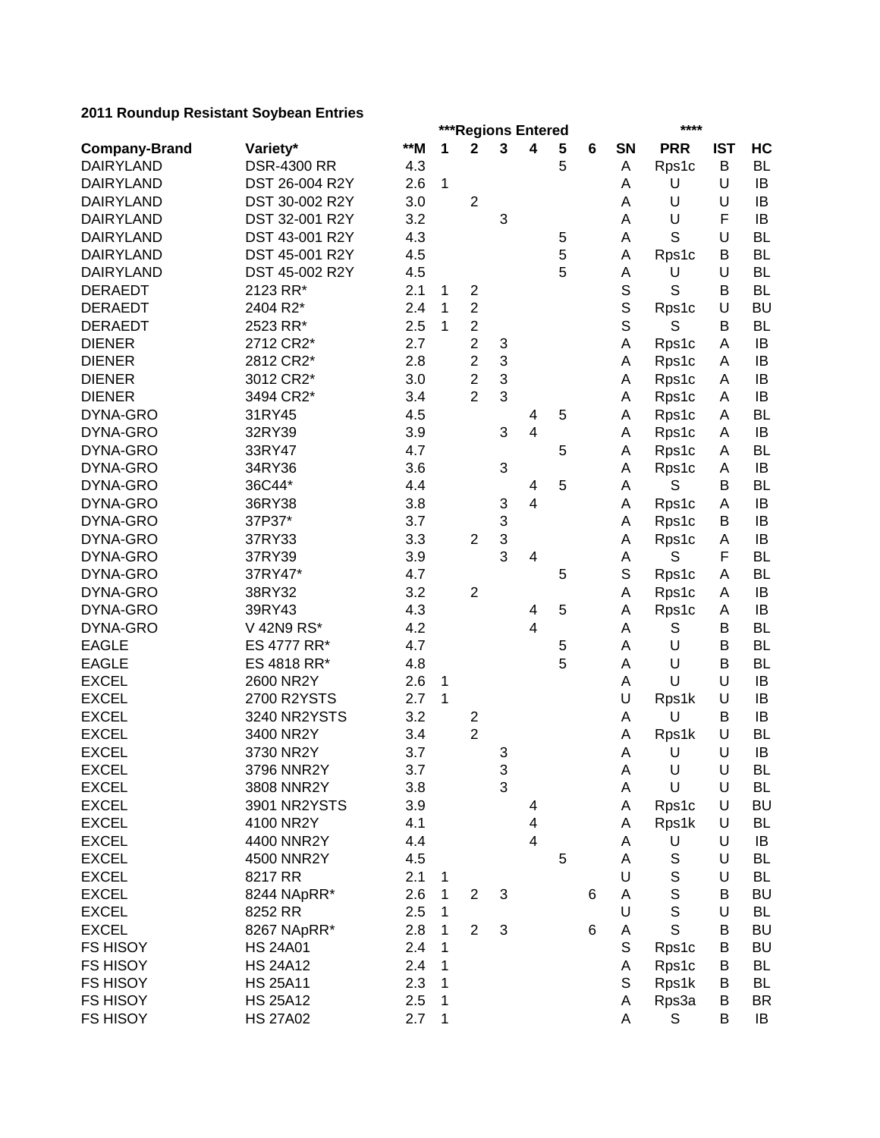|                      |                    | ***Regions Entered<br>**** |              |                         |                           |                         |   |   |             |              |            |           |
|----------------------|--------------------|----------------------------|--------------|-------------------------|---------------------------|-------------------------|---|---|-------------|--------------|------------|-----------|
| <b>Company-Brand</b> | Variety*           | $*$ M                      | 1            | $\mathbf 2$             | 3                         | $\overline{\mathbf{4}}$ | 5 | 6 | SN          | <b>PRR</b>   | <b>IST</b> | HC        |
| <b>DAIRYLAND</b>     | <b>DSR-4300 RR</b> | 4.3                        |              |                         |                           |                         | 5 |   | Α           | Rps1c        | B          | <b>BL</b> |
| <b>DAIRYLAND</b>     | DST 26-004 R2Y     | 2.6                        | $\mathbf{1}$ |                         |                           |                         |   |   | Α           | U            | U          | IB        |
| <b>DAIRYLAND</b>     | DST 30-002 R2Y     | 3.0                        |              | $\overline{2}$          |                           |                         |   |   | A           | U            | U          | IB        |
| <b>DAIRYLAND</b>     | DST 32-001 R2Y     | 3.2                        |              |                         | 3                         |                         |   |   | A           | U            | F          | IB        |
| <b>DAIRYLAND</b>     | DST 43-001 R2Y     | 4.3                        |              |                         |                           |                         | 5 |   | Α           | S            | U          | <b>BL</b> |
| <b>DAIRYLAND</b>     | DST 45-001 R2Y     | 4.5                        |              |                         |                           |                         | 5 |   | Α           | Rps1c        | B          | <b>BL</b> |
| <b>DAIRYLAND</b>     | DST 45-002 R2Y     | 4.5                        |              |                         |                           |                         | 5 |   | А           | U            | U          | <b>BL</b> |
| <b>DERAEDT</b>       | 2123 RR*           | 2.1                        | 1            | $\boldsymbol{2}$        |                           |                         |   |   | $\mathbf S$ | S            | B          | <b>BL</b> |
| <b>DERAEDT</b>       | 2404 R2*           | 2.4                        | 1            | $\overline{c}$          |                           |                         |   |   | $\mathbb S$ | Rps1c        | U          | <b>BU</b> |
| <b>DERAEDT</b>       | 2523 RR*           | 2.5                        | 1            | $\overline{2}$          |                           |                         |   |   | $\mathbf S$ | S            | В          | <b>BL</b> |
| <b>DIENER</b>        | 2712 CR2*          | 2.7                        |              | $\overline{2}$          | 3                         |                         |   |   | A           | Rps1c        | A          | IB        |
| <b>DIENER</b>        | 2812 CR2*          | 2.8                        |              | $\overline{2}$          | 3                         |                         |   |   | A           | Rps1c        | A          | IB        |
| <b>DIENER</b>        | 3012 CR2*          | 3.0                        |              | $\overline{2}$          | 3                         |                         |   |   | A           | Rps1c        | A          | IB        |
| <b>DIENER</b>        | 3494 CR2*          | 3.4                        |              | $\overline{2}$          | 3                         |                         |   |   | A           | Rps1c        | A          | IB        |
| DYNA-GRO             | 31RY45             | 4.5                        |              |                         |                           | 4                       | 5 |   | A           | Rps1c        | A          | <b>BL</b> |
| DYNA-GRO             | 32RY39             | 3.9                        |              |                         | 3                         | 4                       |   |   | A           | Rps1c        | A          | IB        |
| DYNA-GRO             | 33RY47             | 4.7                        |              |                         |                           |                         | 5 |   | Α           | Rps1c        | A          | <b>BL</b> |
| DYNA-GRO             | 34RY36             | 3.6                        |              |                         | $\ensuremath{\mathsf{3}}$ |                         |   |   | Α           | Rps1c        | A          | IB        |
| DYNA-GRO             | 36C44*             | 4.4                        |              |                         |                           | 4                       | 5 |   | A           | S            | B          | <b>BL</b> |
| DYNA-GRO             | 36RY38             | 3.8                        |              |                         | 3                         | $\overline{\mathbf{4}}$ |   |   | Α           | Rps1c        | A          | IB        |
| DYNA-GRO             | 37P37*             | 3.7                        |              |                         | 3                         |                         |   |   | Α           | Rps1c        | В          | IB        |
| DYNA-GRO             | 37RY33             | 3.3                        |              | $\overline{2}$          | 3                         |                         |   |   | Α           | Rps1c        | A          | IB        |
| DYNA-GRO             | 37RY39             | 3.9                        |              |                         | 3                         | 4                       |   |   | A           | S            | F          | <b>BL</b> |
| DYNA-GRO             | 37RY47*            | 4.7                        |              |                         |                           |                         | 5 |   | S           | Rps1c        | A          | <b>BL</b> |
| DYNA-GRO             | 38RY32             | 3.2                        |              | $\overline{2}$          |                           |                         |   |   | A           | Rps1c        | A          | IB        |
| DYNA-GRO             | 39RY43             | 4.3                        |              |                         |                           | 4                       | 5 |   | Α           | Rps1c        | A          | IB        |
| DYNA-GRO             | V 42N9 RS*         | 4.2                        |              |                         |                           | 4                       |   |   | A           | S            | B          | <b>BL</b> |
| <b>EAGLE</b>         | ES 4777 RR*        | 4.7                        |              |                         |                           |                         | 5 |   | Α           | U            | B          | <b>BL</b> |
| <b>EAGLE</b>         | ES 4818 RR*        | 4.8                        |              |                         |                           |                         | 5 |   | Α           | U            | B          | <b>BL</b> |
| <b>EXCEL</b>         | 2600 NR2Y          | 2.6                        | 1            |                         |                           |                         |   |   | Α           | U            | U          | IB        |
| <b>EXCEL</b>         | 2700 R2YSTS        | 2.7                        | 1            |                         |                           |                         |   |   | U           | Rps1k        | U          | IB        |
| <b>EXCEL</b>         | 3240 NR2YSTS       | 3.2                        |              | $\overline{\mathbf{c}}$ |                           |                         |   |   | Α           | U            | B          | IB        |
| <b>EXCEL</b>         | 3400 NR2Y          | 3.4                        |              | $\overline{2}$          |                           |                         |   |   | Α           | Rps1k        | U          | <b>BL</b> |
| <b>EXCEL</b>         | 3730 NR2Y          | 3.7                        |              |                         | 3                         |                         |   |   | A           | U            | U          | IB        |
| <b>EXCEL</b>         | 3796 NNR2Y         | 3.7                        |              |                         | 3                         |                         |   |   | А           | U            | U          | BL        |
| <b>EXCEL</b>         | 3808 NNR2Y         | 3.8                        |              |                         | 3                         |                         |   |   | A           | U            | U          | <b>BL</b> |
| <b>EXCEL</b>         | 3901 NR2YSTS       | 3.9                        |              |                         |                           | 4                       |   |   | A           | Rps1c        | U          | <b>BU</b> |
| <b>EXCEL</b>         | 4100 NR2Y          | 4.1                        |              |                         |                           | $\overline{\mathbf{4}}$ |   |   | Α           | Rps1k        | U          | <b>BL</b> |
| <b>EXCEL</b>         | 4400 NNR2Y         | 4.4                        |              |                         |                           | $\overline{\mathbf{4}}$ |   |   | Α           | U            | U          | IB        |
| <b>EXCEL</b>         | 4500 NNR2Y         | 4.5                        |              |                         |                           |                         | 5 |   | A           | $\mathbb S$  | U          | <b>BL</b> |
| <b>EXCEL</b>         | 8217 RR            | 2.1                        |              |                         |                           |                         |   |   | U           | $\mathbb S$  | U          | <b>BL</b> |
| <b>EXCEL</b>         | 8244 NApRR*        | 2.6                        | 1<br>1       | $\overline{2}$          | 3                         |                         |   |   | Α           | $\mathsf S$  | B          | <b>BU</b> |
| <b>EXCEL</b>         |                    |                            |              |                         |                           |                         |   | 6 | U           | $\mathsf{s}$ | U          |           |
| <b>EXCEL</b>         | 8252 RR            | 2.5                        | 1            | $\overline{2}$          | 3                         |                         |   |   |             | $\mathsf{S}$ |            | BL        |
|                      | 8267 NApRR*        | 2.8                        | 1            |                         |                           |                         |   | 6 | Α           |              | В          | <b>BU</b> |
| <b>FS HISOY</b>      | <b>HS 24A01</b>    | 2.4                        | 1            |                         |                           |                         |   |   | S           | Rps1c        | В          | <b>BU</b> |
| <b>FS HISOY</b>      | <b>HS 24A12</b>    | 2.4                        | 1            |                         |                           |                         |   |   | A           | Rps1c        | B          | <b>BL</b> |
| FS HISOY             | <b>HS 25A11</b>    | 2.3                        | 1            |                         |                           |                         |   |   | S           | Rps1k        | В          | <b>BL</b> |
| <b>FS HISOY</b>      | <b>HS 25A12</b>    | 2.5                        | 1            |                         |                           |                         |   |   | Α           | Rps3a        | B          | <b>BR</b> |
| <b>FS HISOY</b>      | <b>HS 27A02</b>    | 2.7                        | 1            |                         |                           |                         |   |   | Α           | S            | B          | IB        |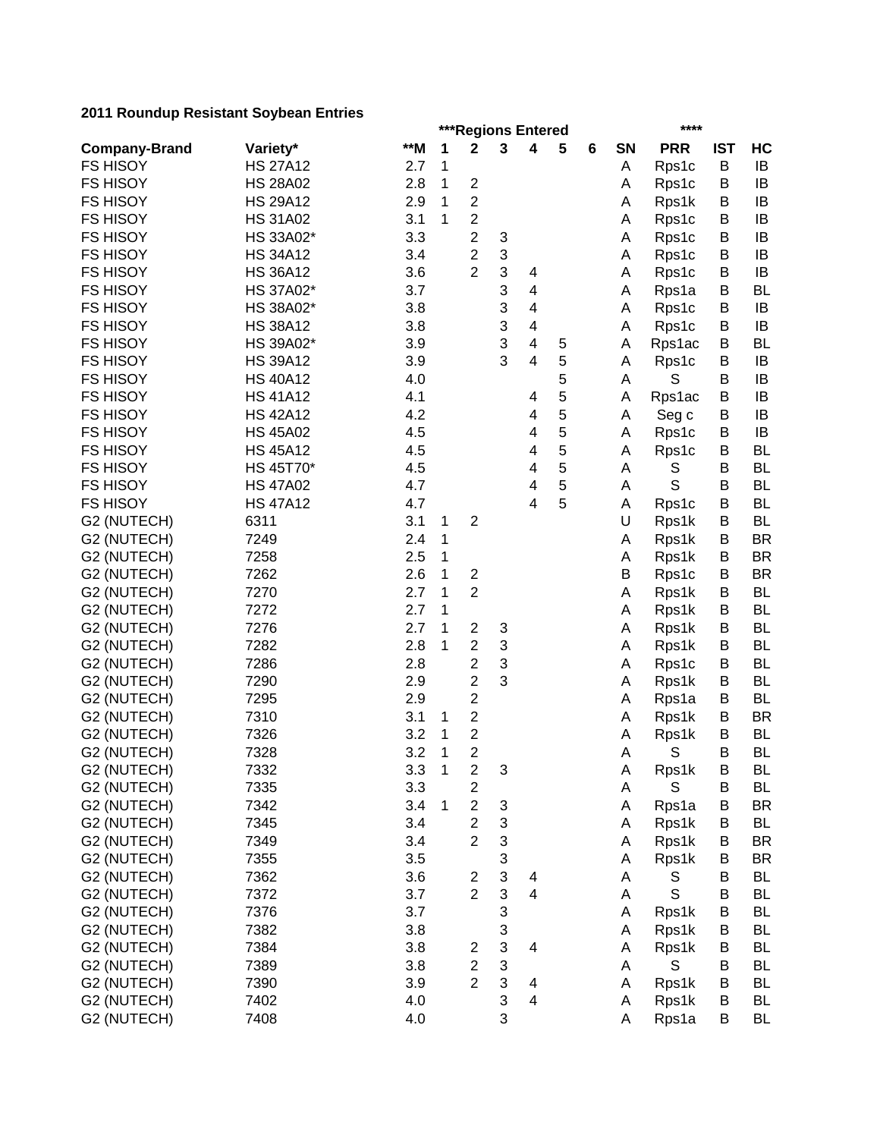|                      | ***Regions Entered<br>**** |     |              |                                    |   |                         |   |   |           |            |            |           |  |  |
|----------------------|----------------------------|-----|--------------|------------------------------------|---|-------------------------|---|---|-----------|------------|------------|-----------|--|--|
| <b>Company-Brand</b> | Variety*                   | **M | 1            | $\mathbf 2$                        | 3 | 4                       | 5 | 6 | <b>SN</b> | <b>PRR</b> | <b>IST</b> | HC        |  |  |
| <b>FS HISOY</b>      | <b>HS 27A12</b>            | 2.7 | 1            |                                    |   |                         |   |   | Α         | Rps1c      | B          | IB        |  |  |
| <b>FS HISOY</b>      | <b>HS 28A02</b>            | 2.8 | 1            | $\boldsymbol{2}$                   |   |                         |   |   | Α         | Rps1c      | B          | IB        |  |  |
| <b>FS HISOY</b>      | <b>HS 29A12</b>            | 2.9 | 1            | 2                                  |   |                         |   |   | Α         | Rps1k      | B          | IB        |  |  |
| <b>FS HISOY</b>      | <b>HS 31A02</b>            | 3.1 | 1            | $\overline{c}$                     |   |                         |   |   | Α         | Rps1c      | B          | IB        |  |  |
| <b>FS HISOY</b>      | HS 33A02*                  | 3.3 |              | $\overline{c}$                     | 3 |                         |   |   | Α         | Rps1c      | B          | IB        |  |  |
| <b>FS HISOY</b>      | <b>HS 34A12</b>            | 3.4 |              | $\overline{\mathbf{c}}$            | 3 |                         |   |   | Α         | Rps1c      | B          | IB        |  |  |
| <b>FS HISOY</b>      | <b>HS 36A12</b>            | 3.6 |              | $\overline{2}$                     | 3 | 4                       |   |   | Α         | Rps1c      | B          | IB        |  |  |
| <b>FS HISOY</b>      | HS 37A02*                  | 3.7 |              |                                    | 3 | $\overline{\mathbf{4}}$ |   |   | Α         | Rps1a      | B          | <b>BL</b> |  |  |
| <b>FS HISOY</b>      | HS 38A02*                  | 3.8 |              |                                    | 3 | $\overline{\mathbf{4}}$ |   |   | Α         | Rps1c      | B          | IB        |  |  |
| <b>FS HISOY</b>      | <b>HS 38A12</b>            | 3.8 |              |                                    | 3 | 4                       |   |   | Α         | Rps1c      | B          | IB        |  |  |
| <b>FS HISOY</b>      | HS 39A02*                  | 3.9 |              |                                    | 3 | $\overline{\mathbf{4}}$ | 5 |   | Α         | Rps1ac     | B          | BL        |  |  |
| <b>FS HISOY</b>      | <b>HS 39A12</b>            | 3.9 |              |                                    | 3 | 4                       | 5 |   | A         | Rps1c      | B          | IB        |  |  |
| <b>FS HISOY</b>      | <b>HS 40A12</b>            | 4.0 |              |                                    |   |                         | 5 |   | A         | S          | B          | IB        |  |  |
| <b>FS HISOY</b>      | <b>HS 41A12</b>            | 4.1 |              |                                    |   | 4                       | 5 |   | Α         | Rps1ac     | В          | IB        |  |  |
| <b>FS HISOY</b>      | <b>HS 42A12</b>            | 4.2 |              |                                    |   | 4                       | 5 |   | A         | Seg c      | B          | IB        |  |  |
| <b>FS HISOY</b>      | <b>HS 45A02</b>            | 4.5 |              |                                    |   | 4                       | 5 |   | Α         | Rps1c      | B          | IB        |  |  |
| <b>FS HISOY</b>      | <b>HS 45A12</b>            | 4.5 |              |                                    |   | 4                       | 5 |   | Α         | Rps1c      | B          | <b>BL</b> |  |  |
| <b>FS HISOY</b>      | HS 45T70*                  | 4.5 |              |                                    |   | 4                       | 5 |   | A         | S          | B          | <b>BL</b> |  |  |
| <b>FS HISOY</b>      | <b>HS 47A02</b>            | 4.7 |              |                                    |   | 4                       | 5 |   | Α         | S          | B          | <b>BL</b> |  |  |
| <b>FS HISOY</b>      | <b>HS 47A12</b>            | 4.7 |              |                                    |   | $\overline{\mathbf{4}}$ | 5 |   | Α         | Rps1c      | B          | <b>BL</b> |  |  |
| G2 (NUTECH)          | 6311                       | 3.1 | 1            | $\boldsymbol{2}$                   |   |                         |   |   | U         | Rps1k      | B          | <b>BL</b> |  |  |
| G2 (NUTECH)          | 7249                       | 2.4 | 1            |                                    |   |                         |   |   | Α         | Rps1k      | B          | <b>BR</b> |  |  |
| G2 (NUTECH)          | 7258                       | 2.5 | 1            |                                    |   |                         |   |   | Α         | Rps1k      | B          | <b>BR</b> |  |  |
| G2 (NUTECH)          | 7262                       | 2.6 | 1            | $\overline{\mathbf{c}}$            |   |                         |   |   | B         | Rps1c      | B          | <b>BR</b> |  |  |
| G2 (NUTECH)          | 7270                       | 2.7 | 1            | $\overline{2}$                     |   |                         |   |   | Α         | Rps1k      | B          | <b>BL</b> |  |  |
| G2 (NUTECH)          | 7272                       | 2.7 | 1            |                                    |   |                         |   |   | Α         | Rps1k      | B          | <b>BL</b> |  |  |
| G2 (NUTECH)          | 7276                       | 2.7 | 1            | $\mathbf{2}$                       | 3 |                         |   |   | Α         | Rps1k      | B          | <b>BL</b> |  |  |
| G2 (NUTECH)          | 7282                       | 2.8 | 1            | $\overline{\mathbf{c}}$            | 3 |                         |   |   | Α         | Rps1k      | B          | <b>BL</b> |  |  |
| G2 (NUTECH)          | 7286                       | 2.8 |              | $\overline{2}$                     | 3 |                         |   |   | A         | Rps1c      | B          | <b>BL</b> |  |  |
| G2 (NUTECH)          | 7290                       | 2.9 |              | $\overline{\mathbf{c}}$            | 3 |                         |   |   | Α         | Rps1k      | В          | <b>BL</b> |  |  |
| G2 (NUTECH)          | 7295                       | 2.9 |              | 2                                  |   |                         |   |   | Α         | Rps1a      | B          | <b>BL</b> |  |  |
| G2 (NUTECH)          | 7310                       | 3.1 | 1            | 2                                  |   |                         |   |   | Α         | Rps1k      | B          | <b>BR</b> |  |  |
| G2 (NUTECH)          | 7326                       | 3.2 | 1            | $\overline{\mathbf{c}}$            |   |                         |   |   | Α         | Rps1k      | B          | <b>BL</b> |  |  |
| G2 (NUTECH)          | 7328                       | 3.2 | 1            | $\overline{2}$                     |   |                         |   |   | Α         | S          | B          | <b>BL</b> |  |  |
| G2 (NUTECH)          | 7332                       | 3.3 | $\mathbf{1}$ | $\boldsymbol{2}$                   | 3 |                         |   |   | A         | Rps1k      | В          | BL        |  |  |
| G2 (NUTECH)          | 7335                       | 3.3 |              | $\overline{c}$                     |   |                         |   |   | Α         | S          | B          | BL        |  |  |
| G2 (NUTECH)          | 7342                       | 3.4 | 1            | $\mathbf{2}$                       | 3 |                         |   |   | Α         | Rps1a      | B          | <b>BR</b> |  |  |
| G2 (NUTECH)          | 7345                       | 3.4 |              | $\overline{c}$                     | 3 |                         |   |   | Α         | Rps1k      | B          | <b>BL</b> |  |  |
| G2 (NUTECH)          | 7349                       | 3.4 |              | $\overline{2}$                     | 3 |                         |   |   | Α         | Rps1k      | B          | <b>BR</b> |  |  |
| G2 (NUTECH)          | 7355                       | 3.5 |              |                                    | 3 |                         |   |   | Α         | Rps1k      | B          | <b>BR</b> |  |  |
| G2 (NUTECH)          | 7362                       | 3.6 |              | $\overline{\mathbf{c}}$            | 3 | 4                       |   |   | Α         | S          | B          | BL        |  |  |
| G2 (NUTECH)          | 7372                       | 3.7 |              | $\overline{2}$                     | 3 | $\overline{4}$          |   |   | Α         | S          | B          | <b>BL</b> |  |  |
| G2 (NUTECH)          | 7376                       | 3.7 |              |                                    | 3 |                         |   |   | Α         | Rps1k      | B          | <b>BL</b> |  |  |
| G2 (NUTECH)          | 7382                       | 3.8 |              |                                    | 3 |                         |   |   | Α         | Rps1k      | B          | <b>BL</b> |  |  |
|                      |                            |     |              |                                    |   |                         |   |   |           |            |            |           |  |  |
| G2 (NUTECH)          | 7384                       | 3.8 |              | $\overline{\mathbf{c}}$            | 3 | 4                       |   |   | Α         | Rps1k      | B          | <b>BL</b> |  |  |
| G2 (NUTECH)          | 7389                       | 3.8 |              | $\boldsymbol{2}$<br>$\overline{2}$ | 3 |                         |   |   | Α         | S          | В          | <b>BL</b> |  |  |
| G2 (NUTECH)          | 7390                       | 3.9 |              |                                    | 3 | 4                       |   |   | Α         | Rps1k      | В          | <b>BL</b> |  |  |
| G2 (NUTECH)          | 7402                       | 4.0 |              |                                    | 3 | $\overline{\mathbf{4}}$ |   |   | Α         | Rps1k      | B          | <b>BL</b> |  |  |
| G2 (NUTECH)          | 7408                       | 4.0 |              |                                    | 3 |                         |   |   | A         | Rps1a      | B          | <b>BL</b> |  |  |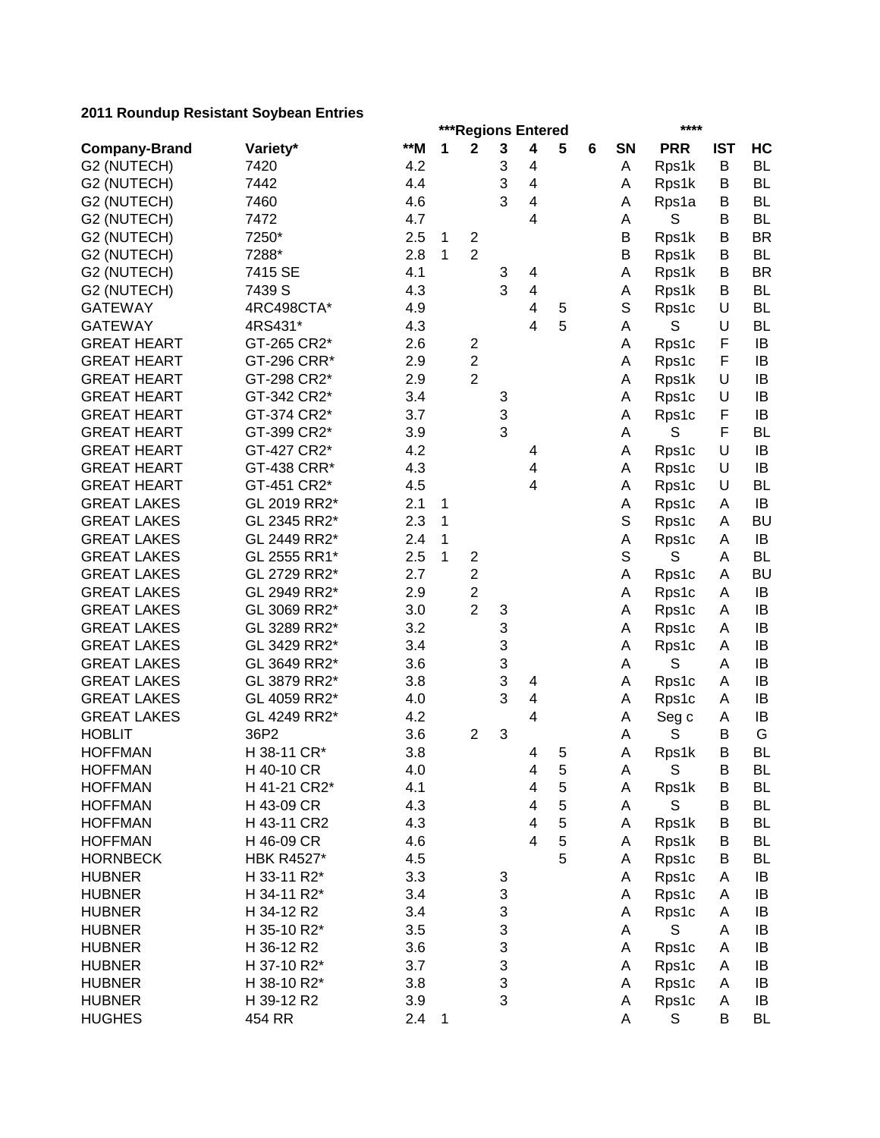|                      |                   | ***Regions Entered<br>**** |   |                         |   |                              |   |   |             |            |            |           |
|----------------------|-------------------|----------------------------|---|-------------------------|---|------------------------------|---|---|-------------|------------|------------|-----------|
| <b>Company-Brand</b> | Variety*          | **M                        | 1 | $\mathbf 2$             | 3 | 4                            | 5 | 6 | SN          | <b>PRR</b> | <b>IST</b> | HC        |
| G2 (NUTECH)          | 7420              | 4.2                        |   |                         | 3 | 4                            |   |   | Α           | Rps1k      | B          | <b>BL</b> |
| G2 (NUTECH)          | 7442              | 4.4                        |   |                         | 3 | 4                            |   |   | A           | Rps1k      | B          | <b>BL</b> |
| G2 (NUTECH)          | 7460              | 4.6                        |   |                         | 3 | 4                            |   |   | A           | Rps1a      | B          | <b>BL</b> |
| G2 (NUTECH)          | 7472              | 4.7                        |   |                         |   | 4                            |   |   | A           | S          | B          | <b>BL</b> |
| G2 (NUTECH)          | 7250*             | 2.5                        | 1 | $\overline{\mathbf{c}}$ |   |                              |   |   | Β           | Rps1k      | B          | <b>BR</b> |
| G2 (NUTECH)          | 7288*             | 2.8                        | 1 | $\overline{2}$          |   |                              |   |   | B           | Rps1k      | B          | <b>BL</b> |
| G2 (NUTECH)          | 7415 SE           | 4.1                        |   |                         | 3 | 4                            |   |   | Α           | Rps1k      | B          | <b>BR</b> |
| G2 (NUTECH)          | 7439 S            | 4.3                        |   |                         | 3 | $\overline{\mathbf{4}}$      |   |   | A           | Rps1k      | B          | <b>BL</b> |
| <b>GATEWAY</b>       | 4RC498CTA*        | 4.9                        |   |                         |   | 4                            | 5 |   | $\mathbb S$ | Rps1c      | U          | <b>BL</b> |
| <b>GATEWAY</b>       | 4RS431*           | 4.3                        |   |                         |   | 4                            | 5 |   | A           | S          | U          | <b>BL</b> |
| <b>GREAT HEART</b>   | GT-265 CR2*       | 2.6                        |   | 2                       |   |                              |   |   | A           | Rps1c      | F          | IB        |
| <b>GREAT HEART</b>   | GT-296 CRR*       | 2.9                        |   | $\overline{c}$          |   |                              |   |   | A           | Rps1c      | F          | IB        |
| <b>GREAT HEART</b>   | GT-298 CR2*       | 2.9                        |   | $\overline{2}$          |   |                              |   |   | Α           | Rps1k      | U          | IB        |
| <b>GREAT HEART</b>   | GT-342 CR2*       | 3.4                        |   |                         | 3 |                              |   |   | Α           | Rps1c      | U          | IB        |
| <b>GREAT HEART</b>   | GT-374 CR2*       | 3.7                        |   |                         | 3 |                              |   |   | A           | Rps1c      | F          | IB        |
| <b>GREAT HEART</b>   | GT-399 CR2*       | 3.9                        |   |                         | 3 |                              |   |   | A           | S          | F          | <b>BL</b> |
| <b>GREAT HEART</b>   | GT-427 CR2*       | 4.2                        |   |                         |   | 4                            |   |   | Α           | Rps1c      | U          | IB        |
| <b>GREAT HEART</b>   | GT-438 CRR*       | 4.3                        |   |                         |   | 4                            |   |   | Α           | Rps1c      | U          | IB        |
| <b>GREAT HEART</b>   | GT-451 CR2*       | 4.5                        |   |                         |   | 4                            |   |   | Α           | Rps1c      | U          | <b>BL</b> |
| <b>GREAT LAKES</b>   | GL 2019 RR2*      | 2.1                        | 1 |                         |   |                              |   |   | A           | Rps1c      | A          | IB        |
| <b>GREAT LAKES</b>   | GL 2345 RR2*      | 2.3                        | 1 |                         |   |                              |   |   | S           | Rps1c      | A          | <b>BU</b> |
| <b>GREAT LAKES</b>   | GL 2449 RR2*      | 2.4                        | 1 |                         |   |                              |   |   | Α           | Rps1c      | A          | IB        |
| <b>GREAT LAKES</b>   | GL 2555 RR1*      | 2.5                        | 1 | $\overline{c}$          |   |                              |   |   | $\mathbf S$ | S          | A          | <b>BL</b> |
| <b>GREAT LAKES</b>   | GL 2729 RR2*      | 2.7                        |   | $\overline{c}$          |   |                              |   |   | Α           | Rps1c      | A          | <b>BU</b> |
| <b>GREAT LAKES</b>   | GL 2949 RR2*      | 2.9                        |   | $\overline{2}$          |   |                              |   |   | Α           | Rps1c      | A          | IB        |
| <b>GREAT LAKES</b>   | GL 3069 RR2*      | 3.0                        |   | $\overline{2}$          | 3 |                              |   |   | Α           | Rps1c      | A          | IB        |
| <b>GREAT LAKES</b>   | GL 3289 RR2*      | 3.2                        |   |                         | 3 |                              |   |   | A           | Rps1c      | A          | IB        |
| <b>GREAT LAKES</b>   | GL 3429 RR2*      | 3.4                        |   |                         | 3 |                              |   |   | A           | Rps1c      | A          | IB        |
| <b>GREAT LAKES</b>   | GL 3649 RR2*      | 3.6                        |   |                         | 3 |                              |   |   | A           | S          | A          | IB        |
| <b>GREAT LAKES</b>   | GL 3879 RR2*      | 3.8                        |   |                         | 3 | 4                            |   |   | Α           | Rps1c      | A          | IB        |
| <b>GREAT LAKES</b>   | GL 4059 RR2*      | 4.0                        |   |                         | 3 | 4                            |   |   | Α           | Rps1c      | A          | IB        |
| <b>GREAT LAKES</b>   | GL 4249 RR2*      | 4.2                        |   |                         |   | 4                            |   |   | Α           | Seg c      | A          | IB        |
| <b>HOBLIT</b>        | 36P2              | 3.6                        |   | $\overline{2}$          | 3 |                              |   |   | Α           | S          | B          | G         |
| <b>HOFFMAN</b>       | H 38-11 CR*       | 3.8                        |   |                         |   | 4                            | 5 |   | Α           | Rps1k      | B          | <b>BL</b> |
| <b>HOFFMAN</b>       | H 40-10 CR        | 4.0                        |   |                         |   | 4                            | 5 |   | A           | S          | B          | BL        |
| <b>HOFFMAN</b>       | H 41-21 CR2*      | 4.1                        |   |                         |   |                              | 5 |   |             |            | Β          | BL        |
|                      | H 43-09 CR        | 4.3                        |   |                         |   | 4<br>$\overline{\mathbf{4}}$ | 5 |   | Α           | Rps1k<br>S | B          | <b>BL</b> |
| <b>HOFFMAN</b>       |                   |                            |   |                         |   | $\overline{\mathbf{4}}$      | 5 |   | A           |            |            | <b>BL</b> |
| <b>HOFFMAN</b>       | H 43-11 CR2       | 4.3                        |   |                         |   |                              |   |   | Α           | Rps1k      | B          |           |
| <b>HOFFMAN</b>       | H 46-09 CR        | 4.6                        |   |                         |   | 4                            | 5 |   | Α           | Rps1k      | B          | <b>BL</b> |
| <b>HORNBECK</b>      | <b>HBK R4527*</b> | 4.5                        |   |                         |   |                              | 5 |   | Α           | Rps1c      | B          | <b>BL</b> |
| <b>HUBNER</b>        | H 33-11 R2*       | 3.3                        |   |                         | 3 |                              |   |   | Α           | Rps1c      | Α          | IB        |
| <b>HUBNER</b>        | H 34-11 R2*       | 3.4                        |   |                         | 3 |                              |   |   | Α           | Rps1c      | A          | IB        |
| <b>HUBNER</b>        | H 34-12 R2        | 3.4                        |   |                         | 3 |                              |   |   | Α           | Rps1c      | A          | IB        |
| <b>HUBNER</b>        | H 35-10 R2*       | 3.5                        |   |                         | 3 |                              |   |   | A           | S          | A          | IB        |
| <b>HUBNER</b>        | H 36-12 R2        | 3.6                        |   |                         | 3 |                              |   |   | A           | Rps1c      | A          | IB        |
| <b>HUBNER</b>        | H 37-10 R2*       | 3.7                        |   |                         | 3 |                              |   |   | A           | Rps1c      | A          | IB        |
| <b>HUBNER</b>        | H 38-10 R2*       | 3.8                        |   |                         | 3 |                              |   |   | A           | Rps1c      | A          | IB        |
| <b>HUBNER</b>        | H 39-12 R2        | 3.9                        |   |                         | 3 |                              |   |   | A           | Rps1c      | A          | IB        |
| <b>HUGHES</b>        | 454 RR            | 2.4                        | 1 |                         |   |                              |   |   | Α           | S          | B          | <b>BL</b> |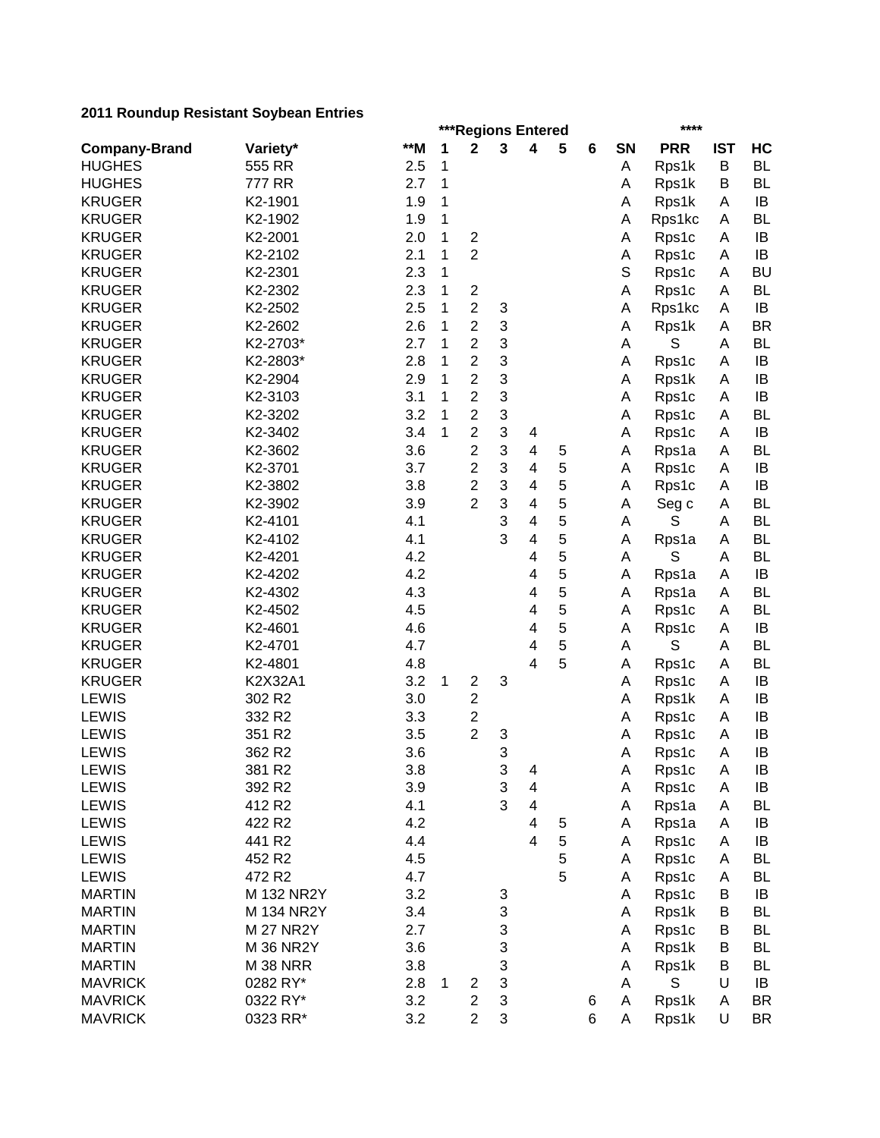|                      | ***Regions Entered<br>**** |       |   |                         |        |                              |   |   |    |            |            |           |
|----------------------|----------------------------|-------|---|-------------------------|--------|------------------------------|---|---|----|------------|------------|-----------|
| <b>Company-Brand</b> | Variety*                   | $**M$ | 1 | $\mathbf 2$             | 3      | $\overline{\mathbf{4}}$      | 5 | 6 | SN | <b>PRR</b> | <b>IST</b> | HC        |
| <b>HUGHES</b>        | 555 RR                     | 2.5   | 1 |                         |        |                              |   |   | Α  | Rps1k      | B          | <b>BL</b> |
| <b>HUGHES</b>        | 777 RR                     | 2.7   | 1 |                         |        |                              |   |   | A  | Rps1k      | B          | <b>BL</b> |
| <b>KRUGER</b>        | K2-1901                    | 1.9   | 1 |                         |        |                              |   |   | Α  | Rps1k      | A          | IB        |
| <b>KRUGER</b>        | K2-1902                    | 1.9   | 1 |                         |        |                              |   |   | Α  | Rps1kc     | A          | <b>BL</b> |
| <b>KRUGER</b>        | K2-2001                    | 2.0   | 1 | $\overline{\mathbf{c}}$ |        |                              |   |   | Α  | Rps1c      | Α          | IB        |
| <b>KRUGER</b>        | K2-2102                    | 2.1   | 1 | $\overline{2}$          |        |                              |   |   | Α  | Rps1c      | Α          | IB        |
| <b>KRUGER</b>        | K2-2301                    | 2.3   | 1 |                         |        |                              |   |   | S  | Rps1c      | A          | <b>BU</b> |
| <b>KRUGER</b>        | K2-2302                    | 2.3   | 1 | $\overline{\mathbf{c}}$ |        |                              |   |   | Α  | Rps1c      | A          | <b>BL</b> |
| <b>KRUGER</b>        | K2-2502                    | 2.5   | 1 | $\overline{c}$          | 3      |                              |   |   | A  | Rps1kc     | A          | IB        |
| <b>KRUGER</b>        | K2-2602                    | 2.6   | 1 | $\overline{c}$          | 3      |                              |   |   | Α  | Rps1k      | A          | <b>BR</b> |
| <b>KRUGER</b>        | K2-2703*                   | 2.7   | 1 | $\overline{c}$          | 3      |                              |   |   | A  | S          | A          | <b>BL</b> |
| <b>KRUGER</b>        | K2-2803*                   | 2.8   | 1 | $\overline{c}$          | 3      |                              |   |   | Α  | Rps1c      | A          | IB        |
| <b>KRUGER</b>        | K2-2904                    | 2.9   | 1 | $\overline{c}$          | 3      |                              |   |   | A  | Rps1k      | A          | IB        |
| <b>KRUGER</b>        | K2-3103                    | 3.1   | 1 | $\overline{\mathbf{c}}$ | 3      |                              |   |   | A  | Rps1c      | A          | IB        |
| <b>KRUGER</b>        | K2-3202                    | 3.2   | 1 | $\overline{\mathbf{c}}$ | 3      |                              |   |   | A  | Rps1c      | A          | <b>BL</b> |
| <b>KRUGER</b>        | K2-3402                    | 3.4   | 1 | $\overline{\mathbf{c}}$ | 3      | 4                            |   |   | Α  | Rps1c      | A          | IB        |
| <b>KRUGER</b>        | K2-3602                    | 3.6   |   | $\overline{\mathbf{c}}$ | 3      | $\overline{\mathbf{4}}$      | 5 |   | Α  | Rps1a      | A          | <b>BL</b> |
| <b>KRUGER</b>        | K2-3701                    | 3.7   |   | $\overline{c}$          | 3      | 4                            | 5 |   | Α  | Rps1c      | A          | IB        |
| <b>KRUGER</b>        | K2-3802                    | 3.8   |   | $\overline{\mathbf{c}}$ | 3      | $\overline{\mathbf{4}}$      | 5 |   | Α  | Rps1c      | A          | IB        |
| <b>KRUGER</b>        | K2-3902                    | 3.9   |   | $\overline{2}$          | 3      | $\overline{\mathbf{4}}$      | 5 |   | Α  | Seg c      | Α          | <b>BL</b> |
| <b>KRUGER</b>        | K2-4101                    | 4.1   |   |                         | 3      | $\overline{\mathbf{4}}$      | 5 |   | Α  | S          | A          | <b>BL</b> |
| <b>KRUGER</b>        | K2-4102                    | 4.1   |   |                         | 3      | $\overline{\mathbf{4}}$      | 5 |   | Α  | Rps1a      | A          | <b>BL</b> |
| <b>KRUGER</b>        | K2-4201                    | 4.2   |   |                         |        | $\overline{\mathbf{4}}$      | 5 |   | A  | S          | A          | <b>BL</b> |
| <b>KRUGER</b>        | K2-4202                    | 4.2   |   |                         |        | 4                            | 5 |   | Α  | Rps1a      | A          | IB        |
| <b>KRUGER</b>        | K2-4302                    | 4.3   |   |                         |        | 4                            | 5 |   | A  | Rps1a      | A          | <b>BL</b> |
| <b>KRUGER</b>        | K2-4502                    | 4.5   |   |                         |        | 4                            | 5 |   | A  | Rps1c      | A          | <b>BL</b> |
| <b>KRUGER</b>        | K2-4601                    | 4.6   |   |                         |        | 4                            | 5 |   | A  | Rps1c      | A          | IB        |
| <b>KRUGER</b>        | K2-4701                    | 4.7   |   |                         |        | 4                            | 5 |   | A  | S          | A          | <b>BL</b> |
| <b>KRUGER</b>        | K2-4801                    | 4.8   |   |                         |        | 4                            | 5 |   | A  | Rps1c      | A          | <b>BL</b> |
| <b>KRUGER</b>        | K2X32A1                    | 3.2   | 1 | $\mathbf{2}$            | 3      |                              |   |   | A  | Rps1c      | A          | IB        |
| <b>LEWIS</b>         | 302 R2                     | 3.0   |   | $\mathbf{2}$            |        |                              |   |   | Α  | Rps1k      | A          | IB        |
| <b>LEWIS</b>         | 332 R2                     | 3.3   |   | $\overline{c}$          |        |                              |   |   | A  | Rps1c      | A          | IB        |
| <b>LEWIS</b>         | 351 R2                     | 3.5   |   | $\overline{c}$          | 3      |                              |   |   | Α  | Rps1c      | A          | IB        |
| <b>LEWIS</b>         | 362 R2                     | 3.6   |   |                         | 3      |                              |   |   | A  |            | A          | IB        |
| LEWIS                | 381 R2                     | 3.8   |   |                         | 3      |                              |   |   |    | Rps1c      |            | $\sf IB$  |
|                      |                            |       |   |                         |        | 4                            |   |   | A  | Rps1c      | A          |           |
| <b>LEWIS</b>         | 392 R <sub>2</sub>         | 3.9   |   |                         | 3<br>3 | 4<br>$\overline{\mathbf{4}}$ |   |   | Α  | Rps1c      | Α          | IB        |
| <b>LEWIS</b>         | 412 R2                     | 4.1   |   |                         |        |                              |   |   | Α  | Rps1a      | Α          | <b>BL</b> |
| <b>LEWIS</b>         | 422 R2                     | 4.2   |   |                         |        | 4                            | 5 |   | Α  | Rps1a      | A          | IB        |
| <b>LEWIS</b>         | 441 R2                     | 4.4   |   |                         |        | 4                            | 5 |   | Α  | Rps1c      | Α          | IB        |
| <b>LEWIS</b>         | 452 R2                     | 4.5   |   |                         |        |                              | 5 |   | Α  | Rps1c      | Α          | <b>BL</b> |
| <b>LEWIS</b>         | 472 R2                     | 4.7   |   |                         |        |                              | 5 |   | Α  | Rps1c      | Α          | BL        |
| <b>MARTIN</b>        | M 132 NR2Y                 | 3.2   |   |                         | 3      |                              |   |   | Α  | Rps1c      | B          | IB        |
| <b>MARTIN</b>        | M 134 NR2Y                 | 3.4   |   |                         | 3      |                              |   |   | Α  | Rps1k      | В          | <b>BL</b> |
| <b>MARTIN</b>        | <b>M 27 NR2Y</b>           | 2.7   |   |                         | 3      |                              |   |   | Α  | Rps1c      | B          | <b>BL</b> |
| <b>MARTIN</b>        | M 36 NR2Y                  | 3.6   |   |                         | 3      |                              |   |   | Α  | Rps1k      | B          | <b>BL</b> |
| <b>MARTIN</b>        | <b>M 38 NRR</b>            | 3.8   |   |                         | 3      |                              |   |   | A  | Rps1k      | В          | <b>BL</b> |
| <b>MAVRICK</b>       | 0282 RY*                   | 2.8   | 1 | 2                       | 3      |                              |   |   | Α  | S          | U          | IB        |
| <b>MAVRICK</b>       | 0322 RY*                   | 3.2   |   | $\overline{c}$          | 3      |                              |   | 6 | Α  | Rps1k      | A          | <b>BR</b> |
| <b>MAVRICK</b>       | 0323 RR*                   | 3.2   |   | $\overline{c}$          | 3      |                              |   | 6 | Α  | Rps1k      | U          | BR        |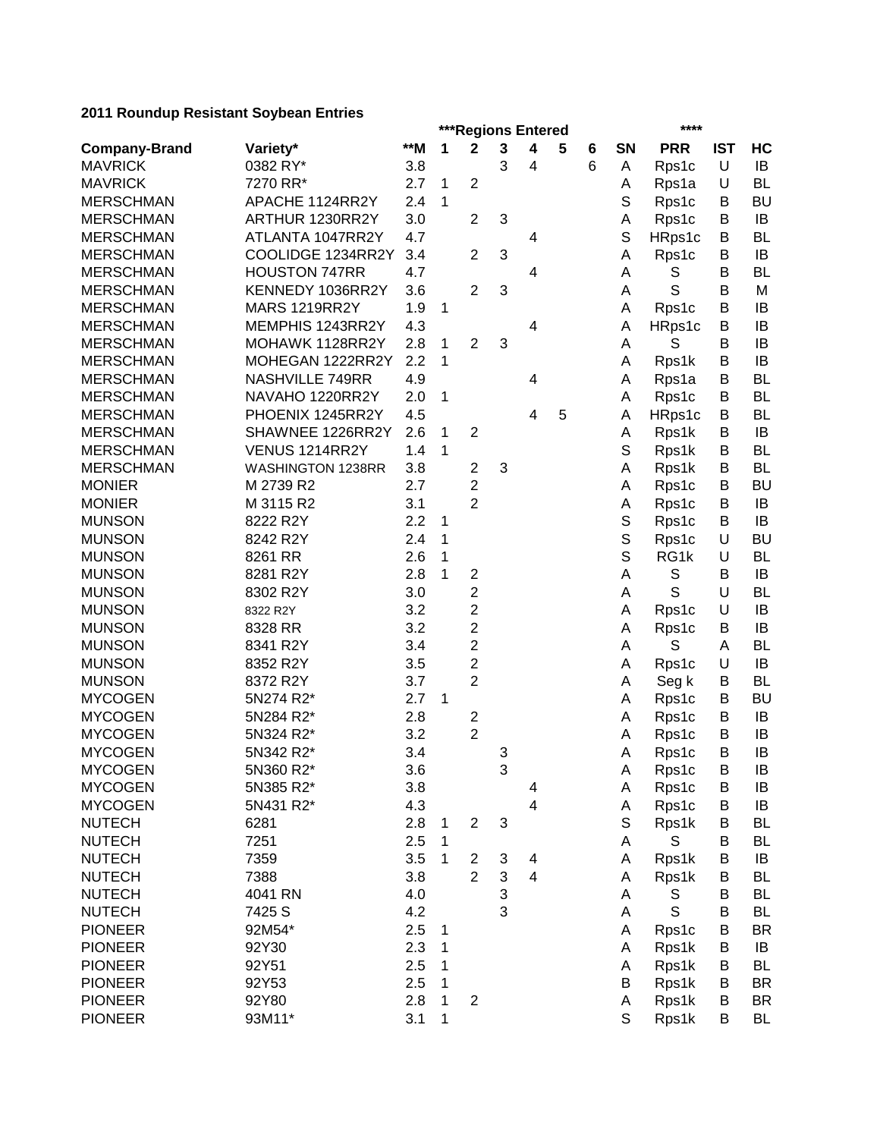|                      |                      | $****$<br>***Regions Entered |   |                         |   |                         |   |   |             |            |            |           |  |  |
|----------------------|----------------------|------------------------------|---|-------------------------|---|-------------------------|---|---|-------------|------------|------------|-----------|--|--|
| <b>Company-Brand</b> | Variety*             | **M                          | 1 | $\mathbf 2$             | 3 | 4                       | 5 | 6 | <b>SN</b>   | <b>PRR</b> | <b>IST</b> | HC        |  |  |
| <b>MAVRICK</b>       | 0382 RY*             | 3.8                          |   |                         | 3 | 4                       |   | 6 | A           | Rps1c      | U          | IB        |  |  |
| <b>MAVRICK</b>       | 7270 RR*             | 2.7                          | 1 | $\overline{2}$          |   |                         |   |   | Α           | Rps1a      | U          | <b>BL</b> |  |  |
| <b>MERSCHMAN</b>     | APACHE 1124RR2Y      | 2.4                          | 1 |                         |   |                         |   |   | S           | Rps1c      | В          | <b>BU</b> |  |  |
| <b>MERSCHMAN</b>     | ARTHUR 1230RR2Y      | 3.0                          |   | $\overline{2}$          | 3 |                         |   |   | Α           | Rps1c      | B          | IB        |  |  |
| <b>MERSCHMAN</b>     | ATLANTA 1047RR2Y     | 4.7                          |   |                         |   | 4                       |   |   | S           | HRps1c     | В          | <b>BL</b> |  |  |
| <b>MERSCHMAN</b>     | COOLIDGE 1234RR2Y    | 3.4                          |   | $\overline{2}$          | 3 |                         |   |   | Α           | Rps1c      | В          | IB        |  |  |
| <b>MERSCHMAN</b>     | <b>HOUSTON 747RR</b> | 4.7                          |   |                         |   | 4                       |   |   | A           | S          | В          | BL        |  |  |
| <b>MERSCHMAN</b>     | KENNEDY 1036RR2Y     | 3.6                          |   | $\overline{2}$          | 3 |                         |   |   | Α           | S          | В          | M         |  |  |
| <b>MERSCHMAN</b>     | <b>MARS 1219RR2Y</b> | 1.9                          | 1 |                         |   |                         |   |   | Α           | Rps1c      | В          | IB        |  |  |
| <b>MERSCHMAN</b>     | MEMPHIS 1243RR2Y     | 4.3                          |   |                         |   | 4                       |   |   | Α           | HRps1c     | B          | IB        |  |  |
| <b>MERSCHMAN</b>     | MOHAWK 1128RR2Y      | 2.8                          | 1 | $\overline{2}$          | 3 |                         |   |   | A           | S          | B          | IB        |  |  |
| <b>MERSCHMAN</b>     | MOHEGAN 1222RR2Y     | 2.2                          | 1 |                         |   |                         |   |   | Α           | Rps1k      | В          | IB        |  |  |
| <b>MERSCHMAN</b>     | NASHVILLE 749RR      | 4.9                          |   |                         |   | 4                       |   |   | A           | Rps1a      | B          | <b>BL</b> |  |  |
| <b>MERSCHMAN</b>     | NAVAHO 1220RR2Y      | 2.0                          | 1 |                         |   |                         |   |   | A           | Rps1c      | B          | <b>BL</b> |  |  |
| <b>MERSCHMAN</b>     | PHOENIX 1245RR2Y     | 4.5                          |   |                         |   | 4                       | 5 |   | Α           | HRps1c     | B          | <b>BL</b> |  |  |
| <b>MERSCHMAN</b>     | SHAWNEE 1226RR2Y     | 2.6                          | 1 | $\overline{2}$          |   |                         |   |   | Α           | Rps1k      | B          | IB        |  |  |
| <b>MERSCHMAN</b>     | VENUS 1214RR2Y       | 1.4                          | 1 |                         |   |                         |   |   | S           | Rps1k      | В          | <b>BL</b> |  |  |
| <b>MERSCHMAN</b>     | WASHINGTON 1238RR    | 3.8                          |   | $\mathbf{2}$            | 3 |                         |   |   | Α           | Rps1k      | B          | <b>BL</b> |  |  |
| <b>MONIER</b>        | M 2739 R2            | 2.7                          |   | $\overline{c}$          |   |                         |   |   | Α           | Rps1c      | B          | <b>BU</b> |  |  |
| <b>MONIER</b>        | M 3115 R2            | 3.1                          |   | $\overline{2}$          |   |                         |   |   | Α           | Rps1c      | B          | IB        |  |  |
| <b>MUNSON</b>        | 8222 R2Y             | 2.2                          | 1 |                         |   |                         |   |   | S           | Rps1c      | B          | IB        |  |  |
| <b>MUNSON</b>        | 8242 R2Y             | 2.4                          | 1 |                         |   |                         |   |   | S           | Rps1c      | U          | <b>BU</b> |  |  |
| <b>MUNSON</b>        | 8261 RR              | 2.6                          | 1 |                         |   |                         |   |   | S           | RG1k       | U          | <b>BL</b> |  |  |
| <b>MUNSON</b>        | 8281 R2Y             | 2.8                          | 1 | 2                       |   |                         |   |   | A           | S          | В          | IB        |  |  |
| <b>MUNSON</b>        | 8302 R2Y             | 3.0                          |   | $\overline{\mathbf{c}}$ |   |                         |   |   | A           | S          | U          | <b>BL</b> |  |  |
| <b>MUNSON</b>        | 8322 R2Y             | 3.2                          |   | 2                       |   |                         |   |   | Α           | Rps1c      | U          | IB        |  |  |
| <b>MUNSON</b>        | 8328 RR              | 3.2                          |   | 2                       |   |                         |   |   | Α           | Rps1c      | В          | IB        |  |  |
| <b>MUNSON</b>        | 8341 R2Y             | 3.4                          |   | 2                       |   |                         |   |   | A           | S          | Α          | <b>BL</b> |  |  |
| <b>MUNSON</b>        | 8352 R2Y             | 3.5                          |   | 2                       |   |                         |   |   | A           | Rps1c      | U          | IB        |  |  |
| <b>MUNSON</b>        | 8372 R2Y             | 3.7                          |   | $\overline{2}$          |   |                         |   |   | Α           | Seg k      | В          | <b>BL</b> |  |  |
| <b>MYCOGEN</b>       | 5N274 R2*            | 2.7                          | 1 |                         |   |                         |   |   | Α           | Rps1c      | B          | <b>BU</b> |  |  |
| <b>MYCOGEN</b>       | 5N284 R2*            | 2.8                          |   | $\overline{\mathbf{c}}$ |   |                         |   |   | Α           | Rps1c      | B          | IB        |  |  |
| <b>MYCOGEN</b>       | 5N324 R2*            | 3.2                          |   | $\overline{2}$          |   |                         |   |   | Α           | Rps1c      | B          | IB        |  |  |
| <b>MYCOGEN</b>       | 5N342 R2*            | 3.4                          |   |                         | 3 |                         |   |   | Α           | Rps1c      | B          | IB        |  |  |
| <b>MYCOGEN</b>       | 5N360 R2*            | 3.6                          |   |                         | 3 |                         |   |   | A           | Rps1c      | $\sf B$    | $\sf IB$  |  |  |
| <b>MYCOGEN</b>       | 5N385 R2*            | 3.8                          |   |                         |   | 4                       |   |   | A           | Rps1c      | Β          | IB        |  |  |
| <b>MYCOGEN</b>       | 5N431 R2*            | 4.3                          |   |                         |   | 4                       |   |   | Α           | Rps1c      | B          | IB        |  |  |
| <b>NUTECH</b>        | 6281                 | 2.8                          | 1 | $\boldsymbol{2}$        | 3 |                         |   |   | $\mathbb S$ | Rps1k      | B          | <b>BL</b> |  |  |
| <b>NUTECH</b>        | 7251                 | 2.5                          | 1 |                         |   |                         |   |   | A           | S          | B          | <b>BL</b> |  |  |
| <b>NUTECH</b>        | 7359                 | 3.5                          | 1 | 2                       | 3 | 4                       |   |   | Α           | Rps1k      | В          | IB        |  |  |
| <b>NUTECH</b>        | 7388                 | 3.8                          |   | $\overline{2}$          | 3 | $\overline{\mathbf{4}}$ |   |   | Α           |            | B          | <b>BL</b> |  |  |
| <b>NUTECH</b>        | 4041 RN              | 4.0                          |   |                         | 3 |                         |   |   | A           | Rps1k      | В          | <b>BL</b> |  |  |
|                      |                      | 4.2                          |   |                         | 3 |                         |   |   |             | S<br>S     | B          | <b>BL</b> |  |  |
| <b>NUTECH</b>        | 7425 S               |                              |   |                         |   |                         |   |   | A           |            |            |           |  |  |
| <b>PIONEER</b>       | 92M54*               | 2.5                          | 1 |                         |   |                         |   |   | Α           | Rps1c      | В          | <b>BR</b> |  |  |
| <b>PIONEER</b>       | 92Y30                | 2.3                          | 1 |                         |   |                         |   |   | Α           | Rps1k      | B          | IB        |  |  |
| <b>PIONEER</b>       | 92Y51                | 2.5                          | 1 |                         |   |                         |   |   | Α           | Rps1k      | B          | <b>BL</b> |  |  |
| <b>PIONEER</b>       | 92Y53                | 2.5                          | 1 |                         |   |                         |   |   | В           | Rps1k      | B          | <b>BR</b> |  |  |
| <b>PIONEER</b>       | 92Y80                | 2.8                          | 1 | $\overline{c}$          |   |                         |   |   | A           | Rps1k      | B          | BR        |  |  |
| <b>PIONEER</b>       | 93M11*               | 3.1                          | 1 |                         |   |                         |   |   | S           | Rps1k      | B          | BL        |  |  |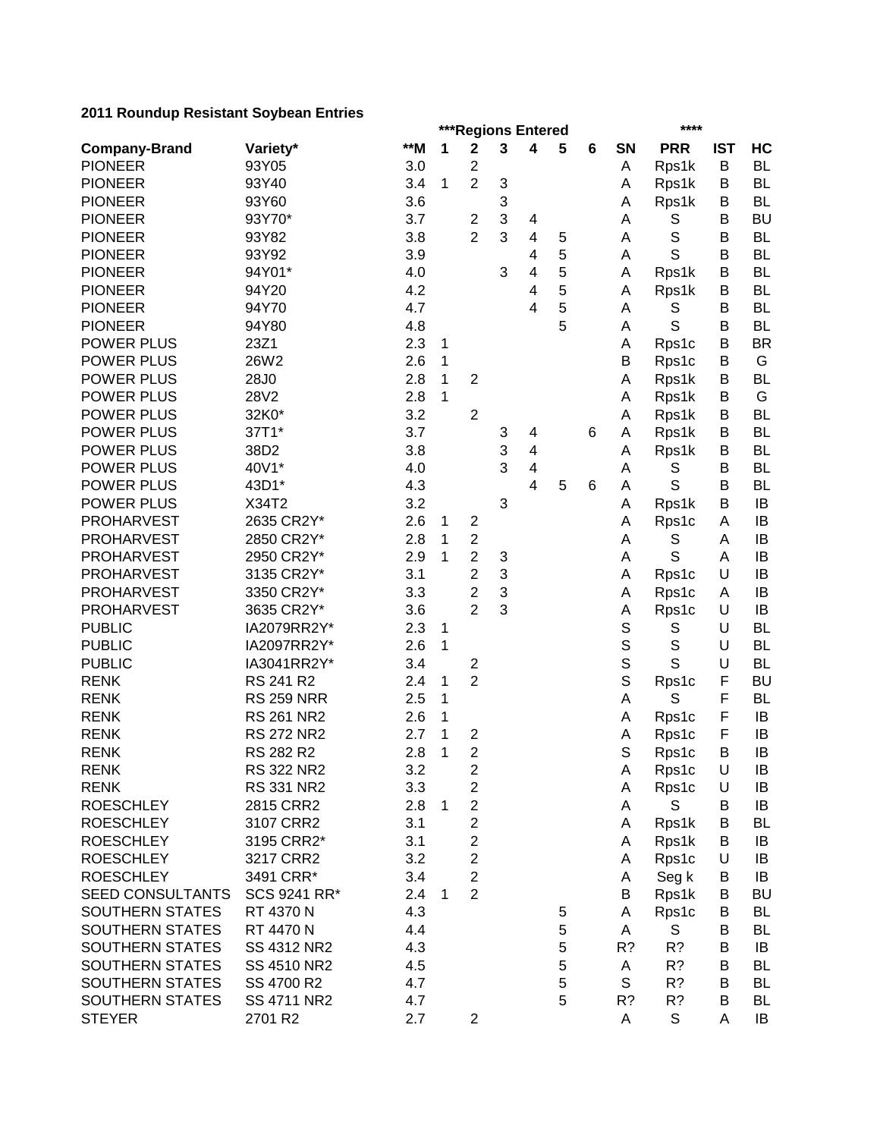|                         |                    |       | ***Regions Entered |                                           |   |                         |   |   | ****   |             |             |           |  |
|-------------------------|--------------------|-------|--------------------|-------------------------------------------|---|-------------------------|---|---|--------|-------------|-------------|-----------|--|
| <b>Company-Brand</b>    | Variety*           | $**M$ | 1                  | $\mathbf 2$                               | 3 | 4                       | 5 | 6 | SN     | <b>PRR</b>  | <b>IST</b>  | HC        |  |
| <b>PIONEER</b>          | 93Y05              | 3.0   |                    | $\boldsymbol{2}$                          |   |                         |   |   | Α      | Rps1k       | B           | <b>BL</b> |  |
| <b>PIONEER</b>          | 93Y40              | 3.4   | 1                  | $\overline{2}$                            | 3 |                         |   |   | Α      | Rps1k       | B           | <b>BL</b> |  |
| <b>PIONEER</b>          | 93Y60              | 3.6   |                    |                                           | 3 |                         |   |   | Α      | Rps1k       | B           | <b>BL</b> |  |
| <b>PIONEER</b>          | 93Y70*             | 3.7   |                    | 2                                         | 3 | 4                       |   |   | Α      | S           | B           | <b>BU</b> |  |
| <b>PIONEER</b>          | 93Y82              | 3.8   |                    | $\overline{2}$                            | 3 | $\overline{\mathbf{4}}$ | 5 |   | A      | $\mathbb S$ | B           | <b>BL</b> |  |
| <b>PIONEER</b>          | 93Y92              | 3.9   |                    |                                           |   | 4                       | 5 |   | Α      | S           | B           | <b>BL</b> |  |
| <b>PIONEER</b>          | 94Y01*             | 4.0   |                    |                                           | 3 | 4                       | 5 |   | A      | Rps1k       | B           | <b>BL</b> |  |
| <b>PIONEER</b>          | 94Y20              | 4.2   |                    |                                           |   | 4                       | 5 |   | Α      | Rps1k       | B           | <b>BL</b> |  |
| <b>PIONEER</b>          | 94Y70              | 4.7   |                    |                                           |   | 4                       | 5 |   | A      | S           | B           | <b>BL</b> |  |
| <b>PIONEER</b>          | 94Y80              | 4.8   |                    |                                           |   |                         | 5 |   | Α      | S           | В           | <b>BL</b> |  |
| <b>POWER PLUS</b>       | 23Z1               | 2.3   | 1                  |                                           |   |                         |   |   | Α      | Rps1c       | B           | <b>BR</b> |  |
| <b>POWER PLUS</b>       | 26W2               | 2.6   | 1                  |                                           |   |                         |   |   | B      | Rps1c       | B           | G         |  |
| <b>POWER PLUS</b>       | 28J0               | 2.8   | 1                  | $\boldsymbol{2}$                          |   |                         |   |   | Α      | Rps1k       | B           | <b>BL</b> |  |
| POWER PLUS              | 28V2               | 2.8   | 1                  |                                           |   |                         |   |   | Α      | Rps1k       | B           | G         |  |
| POWER PLUS              | 32K0*              | 3.2   |                    | $\boldsymbol{2}$                          |   |                         |   |   | Α      | Rps1k       | B           | <b>BL</b> |  |
| <b>POWER PLUS</b>       | 37T1*              | 3.7   |                    |                                           | 3 | 4                       |   | 6 | Α      | Rps1k       | B           | <b>BL</b> |  |
| <b>POWER PLUS</b>       | 38D2               | 3.8   |                    |                                           | 3 | 4                       |   |   | Α      | Rps1k       | B           | <b>BL</b> |  |
| <b>POWER PLUS</b>       | 40V1*              | 4.0   |                    |                                           | 3 | 4                       |   |   | Α      | S           | B           | <b>BL</b> |  |
| <b>POWER PLUS</b>       | 43D1*              | 4.3   |                    |                                           |   | $\overline{\mathbf{4}}$ | 5 | 6 | А      | S           | B           | <b>BL</b> |  |
| <b>POWER PLUS</b>       | X34T2              | 3.2   |                    |                                           | 3 |                         |   |   | Α      | Rps1k       | B           | IB        |  |
| <b>PROHARVEST</b>       | 2635 CR2Y*         | 2.6   | 1                  | $\boldsymbol{2}$                          |   |                         |   |   | Α      | Rps1c       | A           | IB        |  |
| <b>PROHARVEST</b>       | 2850 CR2Y*         | 2.8   | 1                  | $\overline{c}$                            |   |                         |   |   | Α      | S           | A           | IB        |  |
| <b>PROHARVEST</b>       | 2950 CR2Y*         | 2.9   | 1                  | $\overline{c}$                            | 3 |                         |   |   | A      | S           | A           | IB        |  |
| <b>PROHARVEST</b>       | 3135 CR2Y*         | 3.1   |                    | $\overline{2}$                            | 3 |                         |   |   | Α      | Rps1c       | U           | IB        |  |
| <b>PROHARVEST</b>       | 3350 CR2Y*         | 3.3   |                    | 2                                         | 3 |                         |   |   | Α      | Rps1c       | A           | IB        |  |
| <b>PROHARVEST</b>       | 3635 CR2Y*         | 3.6   |                    | $\overline{2}$                            | 3 |                         |   |   | Α      | Rps1c       | U           | IB        |  |
| <b>PUBLIC</b>           | IA2079RR2Y*        | 2.3   | 1                  |                                           |   |                         |   |   | S      | S           | U           | <b>BL</b> |  |
| <b>PUBLIC</b>           | IA2097RR2Y*        | 2.6   | 1                  |                                           |   |                         |   |   | S      | S           | U           | <b>BL</b> |  |
| <b>PUBLIC</b>           | IA3041RR2Y*        | 3.4   |                    |                                           |   |                         |   |   | S      | S           | U           | <b>BL</b> |  |
| <b>RENK</b>             | RS 241 R2          | 2.4   | 1                  | $\overline{\mathbf{c}}$<br>$\overline{2}$ |   |                         |   |   | S      |             | F           | <b>BU</b> |  |
| <b>RENK</b>             | <b>RS 259 NRR</b>  | 2.5   | 1                  |                                           |   |                         |   |   | A      | Rps1c<br>S  | F           | <b>BL</b> |  |
| <b>RENK</b>             | <b>RS 261 NR2</b>  | 2.6   | 1                  |                                           |   |                         |   |   |        |             | F           | IB        |  |
| <b>RENK</b>             | <b>RS 272 NR2</b>  | 2.7   | 1                  |                                           |   |                         |   |   | Α      | Rps1c       | $\mathsf F$ | IB        |  |
| <b>RENK</b>             | RS 282 R2          | 2.8   |                    | $\overline{\mathbf{c}}$<br>$\overline{2}$ |   |                         |   |   | Α<br>S | Rps1c       | B           | IB        |  |
|                         |                    |       | 1                  |                                           |   |                         |   |   |        | Rps1c       |             | IB        |  |
| <b>RENK</b>             | RS 322 NR2         | 3.2   |                    | $\overline{\mathbf{c}}$                   |   |                         |   |   | A      | Rps1c       | U           |           |  |
| <b>RENK</b>             | RS 331 NR2         | 3.3   |                    | $\boldsymbol{2}$                          |   |                         |   |   | Α      | Rps1c       | U           | IB        |  |
| <b>ROESCHLEY</b>        | 2815 CRR2          | 2.8   | 1                  | $\overline{c}$                            |   |                         |   |   | Α      | S           | B           | IB        |  |
| <b>ROESCHLEY</b>        | 3107 CRR2          | 3.1   |                    | $\overline{\mathbf{c}}$                   |   |                         |   |   | Α      | Rps1k       | B           | <b>BL</b> |  |
| <b>ROESCHLEY</b>        | 3195 CRR2*         | 3.1   |                    | $\boldsymbol{2}$                          |   |                         |   |   | A      | Rps1k       | В           | IB        |  |
| <b>ROESCHLEY</b>        | 3217 CRR2          | 3.2   |                    | $\overline{\mathbf{c}}$                   |   |                         |   |   | A      | Rps1c       | U           | IB        |  |
| <b>ROESCHLEY</b>        | 3491 CRR*          | 3.4   |                    | $\overline{2}$                            |   |                         |   |   | Α      | Seg k       | B           | IB        |  |
| <b>SEED CONSULTANTS</b> | SCS 9241 RR*       | 2.4   | $\mathbf 1$        | $\overline{c}$                            |   |                         |   |   | Β      | Rps1k       | B           | <b>BU</b> |  |
| SOUTHERN STATES         | RT 4370 N          | 4.3   |                    |                                           |   |                         | 5 |   | A      | Rps1c       | В           | <b>BL</b> |  |
| <b>SOUTHERN STATES</b>  | RT 4470 N          | 4.4   |                    |                                           |   |                         | 5 |   | Α      | S           | B           | <b>BL</b> |  |
| <b>SOUTHERN STATES</b>  | SS 4312 NR2        | 4.3   |                    |                                           |   |                         | 5 |   | R?     | R?          | B           | IB        |  |
| SOUTHERN STATES         | SS 4510 NR2        | 4.5   |                    |                                           |   |                         | 5 |   | Α      | R?          | B           | <b>BL</b> |  |
| SOUTHERN STATES         | SS 4700 R2         | 4.7   |                    |                                           |   |                         | 5 |   | S      | R?          | B           | <b>BL</b> |  |
| SOUTHERN STATES         | <b>SS 4711 NR2</b> | 4.7   |                    |                                           |   |                         | 5 |   | R?     | R?          | B           | <b>BL</b> |  |
| <b>STEYER</b>           | 2701 R2            | 2.7   |                    | $\mathbf{2}$                              |   |                         |   |   | A      | $\mathbb S$ | A           | IB        |  |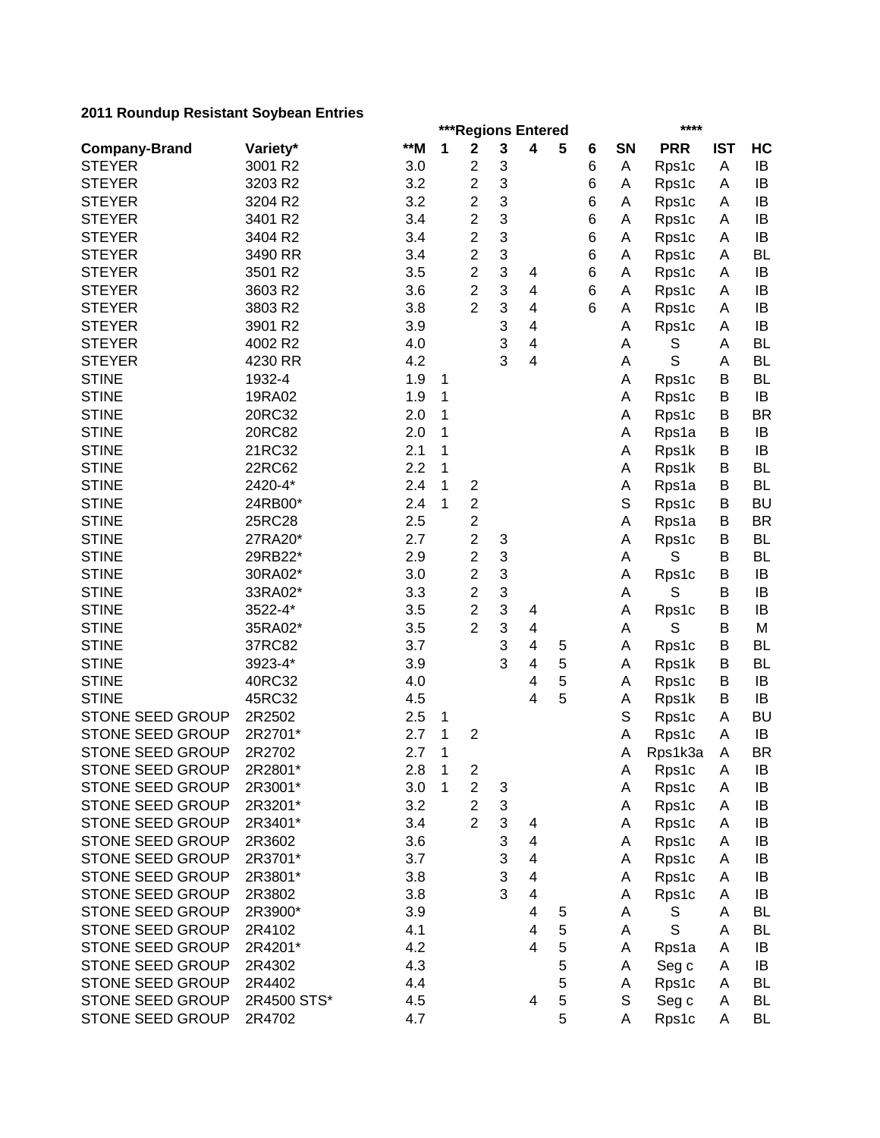|                         | ***Regions Entered<br>**** |       |              |                                  |                           |                |   |   |             |             |            |           |  |
|-------------------------|----------------------------|-------|--------------|----------------------------------|---------------------------|----------------|---|---|-------------|-------------|------------|-----------|--|
| <b>Company-Brand</b>    | Variety*                   | $**M$ | 1            | $\mathbf 2$                      | 3                         | 4              | 5 | 6 | SN          | <b>PRR</b>  | <b>IST</b> | HC        |  |
| <b>STEYER</b>           | 3001 R2                    | 3.0   |              | $\overline{\mathbf{c}}$          | 3                         |                |   | 6 | Α           | Rps1c       | A          | IB        |  |
| <b>STEYER</b>           | 3203 R2                    | 3.2   |              | $\overline{\mathbf{c}}$          | 3                         |                |   | 6 | Α           | Rps1c       | A          | IB        |  |
| <b>STEYER</b>           | 3204 R2                    | 3.2   |              | $\mathbf{2}$                     | 3                         |                |   | 6 | Α           | Rps1c       | Α          | IB        |  |
| <b>STEYER</b>           | 3401 R2                    | 3.4   |              | $\overline{c}$                   | 3                         |                |   | 6 | Α           | Rps1c       | Α          | IB        |  |
| <b>STEYER</b>           | 3404 R2                    | 3.4   |              | $\overline{c}$                   | 3                         |                |   | 6 | Α           | Rps1c       | Α          | IB        |  |
| <b>STEYER</b>           | 3490 RR                    | 3.4   |              | $\overline{c}$                   | 3                         |                |   | 6 | Α           | Rps1c       | A          | <b>BL</b> |  |
| <b>STEYER</b>           | 3501 R2                    | 3.5   |              | $\overline{2}$                   | 3                         | 4              |   | 6 | Α           | Rps1c       | A          | IB        |  |
| <b>STEYER</b>           | 3603 R2                    | 3.6   |              | $\overline{2}$                   | 3                         | 4              |   | 6 | Α           | Rps1c       | Α          | IB        |  |
| <b>STEYER</b>           | 3803 R2                    | 3.8   |              | $\overline{2}$                   | 3                         | 4              |   | 6 | Α           | Rps1c       | A          | IB        |  |
| <b>STEYER</b>           | 3901 R2                    | 3.9   |              |                                  | 3                         | 4              |   |   | Α           | Rps1c       | A          | IB        |  |
| <b>STEYER</b>           | 4002 R2                    | 4.0   |              |                                  | 3                         | 4              |   |   | Α           | S           | A          | <b>BL</b> |  |
| <b>STEYER</b>           | 4230 RR                    | 4.2   |              |                                  | 3                         | 4              |   |   | Α           | S           | A          | <b>BL</b> |  |
| <b>STINE</b>            | 1932-4                     | 1.9   | 1            |                                  |                           |                |   |   | Α           | Rps1c       | В          | <b>BL</b> |  |
| <b>STINE</b>            | 19RA02                     | 1.9   | 1            |                                  |                           |                |   |   | Α           | Rps1c       | B          | IB        |  |
| <b>STINE</b>            | 20RC32                     | 2.0   | 1            |                                  |                           |                |   |   | А           | Rps1c       | B          | <b>BR</b> |  |
| <b>STINE</b>            | 20RC82                     | 2.0   | 1            |                                  |                           |                |   |   | А           | Rps1a       | B          | IB        |  |
| <b>STINE</b>            | 21RC32                     | 2.1   | 1            |                                  |                           |                |   |   | Α           | Rps1k       | B          | IB        |  |
| <b>STINE</b>            | 22RC62                     | 2.2   | 1            |                                  |                           |                |   |   | Α           | Rps1k       | B          | <b>BL</b> |  |
| <b>STINE</b>            | 2420-4*                    | 2.4   | 1            | $\boldsymbol{2}$                 |                           |                |   |   | Α           | Rps1a       | B          | <b>BL</b> |  |
| <b>STINE</b>            | 24RB00*                    | 2.4   | 1            | $\boldsymbol{2}$                 |                           |                |   |   | $\mathbb S$ | Rps1c       | B          | <b>BU</b> |  |
| <b>STINE</b>            | 25RC28                     | 2.5   |              | $\overline{c}$                   |                           |                |   |   | А           | Rps1a       | B          | <b>BR</b> |  |
| <b>STINE</b>            | 27RA20*                    | 2.7   |              | $\overline{\mathbf{c}}$          | 3                         |                |   |   | Α           | Rps1c       | B          | <b>BL</b> |  |
| <b>STINE</b>            | 29RB22*                    | 2.9   |              | $\overline{\mathbf{c}}$          | 3                         |                |   |   | A           | S           | B          | <b>BL</b> |  |
| <b>STINE</b>            | 30RA02*                    | 3.0   |              | $\overline{c}$                   | 3                         |                |   |   | Α           | Rps1c       | B          | IB        |  |
| <b>STINE</b>            | 33RA02*                    | 3.3   |              | 2                                | 3                         |                |   |   | Α           | S           | B          | IB        |  |
| <b>STINE</b>            | 3522-4*                    | 3.5   |              | 2                                | 3                         | 4              |   |   | Α           | Rps1c       | B          | IB        |  |
| <b>STINE</b>            | 35RA02*                    | 3.5   |              | $\overline{2}$                   | 3                         | 4              |   |   | А           | S           | В          | M         |  |
| <b>STINE</b>            | 37RC82                     | 3.7   |              |                                  | 3                         | 4              | 5 |   | Α           | Rps1c       | B          | <b>BL</b> |  |
| <b>STINE</b>            | 3923-4*                    | 3.9   |              |                                  | 3                         | 4              | 5 |   | Α           | Rps1k       | B          | <b>BL</b> |  |
| <b>STINE</b>            | 40RC32                     | 4.0   |              |                                  |                           | 4              | 5 |   | Α           | Rps1c       | B          | IB        |  |
| <b>STINE</b>            | 45RC32                     | 4.5   |              |                                  |                           | 4              | 5 |   | Α           | Rps1k       | B          | IB        |  |
| <b>STONE SEED GROUP</b> | 2R2502                     | 2.5   | 1            |                                  |                           |                |   |   | S           | Rps1c       | A          | <b>BU</b> |  |
| STONE SEED GROUP        | 2R2701*                    | 2.7   | 1            | $\overline{2}$                   |                           |                |   |   |             |             | A          | IB        |  |
| <b>STONE SEED GROUP</b> | 2R2702                     | 2.7   | 1            |                                  |                           |                |   |   | Α           | Rps1c       | A          | <b>BR</b> |  |
| STONE SEED GROUP        | 2R2801*                    |       | $\mathbf{1}$ |                                  |                           |                |   |   | Α           | Rps1k3a     |            | IB        |  |
|                         |                            | 2.8   |              | $\overline{\mathbf{c}}$          |                           |                |   |   | A           | Rps1c       | Α          |           |  |
| STONE SEED GROUP        | 2R3001*                    | 3.0   | 1            | $\boldsymbol{2}$                 | 3                         |                |   |   | A           | Rps1c       | A          | IB        |  |
| STONE SEED GROUP        | 2R3201*                    | 3.2   |              | $\overline{2}$<br>$\overline{2}$ | $\ensuremath{\mathsf{3}}$ |                |   |   | A           | Rps1c       | Α          | IB        |  |
| <b>STONE SEED GROUP</b> | 2R3401*                    | 3.4   |              |                                  | 3                         | 4              |   |   | Α           | Rps1c       | Α          | IB        |  |
| STONE SEED GROUP        | 2R3602                     | 3.6   |              |                                  | 3                         | 4              |   |   | Α           | Rps1c       | Α          | IB        |  |
| STONE SEED GROUP        | 2R3701*                    | 3.7   |              |                                  | 3                         | 4              |   |   | Α           | Rps1c       | Α          | IB        |  |
| STONE SEED GROUP        | 2R3801*                    | 3.8   |              |                                  | 3                         | 4              |   |   | Α           | Rps1c       | Α          | IB        |  |
| STONE SEED GROUP        | 2R3802                     | 3.8   |              |                                  | 3                         | 4              |   |   | Α           | Rps1c       | Α          | IB        |  |
| STONE SEED GROUP        | 2R3900*                    | 3.9   |              |                                  |                           | 4              | 5 |   | A           | S           | A          | <b>BL</b> |  |
| STONE SEED GROUP        | 2R4102                     | 4.1   |              |                                  |                           | 4              | 5 |   | Α           | $\mathbb S$ | A          | <b>BL</b> |  |
| STONE SEED GROUP        | 2R4201*                    | 4.2   |              |                                  |                           | $\overline{4}$ | 5 |   | Α           | Rps1a       | A          | IB        |  |
| STONE SEED GROUP        | 2R4302                     | 4.3   |              |                                  |                           |                | 5 |   | Α           | Seg c       | A          | IB        |  |
| STONE SEED GROUP        | 2R4402                     | 4.4   |              |                                  |                           |                | 5 |   | Α           | Rps1c       | A          | <b>BL</b> |  |
| STONE SEED GROUP        | 2R4500 STS*                | 4.5   |              |                                  |                           | 4              | 5 |   | S           | Seg c       | Α          | <b>BL</b> |  |
| STONE SEED GROUP        | 2R4702                     | 4.7   |              |                                  |                           |                | 5 |   | A           | Rps1c       | A          | <b>BL</b> |  |